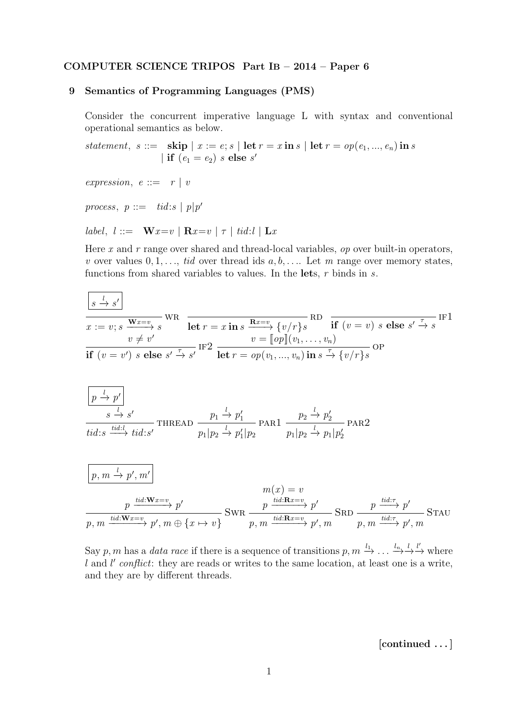## COMPUTER SCIENCE TRIPOS Part IB – 2014 – Paper 6

## 9 Semantics of Programming Languages (PMS)

Consider the concurrent imperative language L with syntax and conventional operational semantics as below.

statement, s ::= skip  $|x := e; s |$  let  $r = x$  in s  $|$  let  $r = op(e_1, ..., e_n)$  in s | if  $(e_1 = e_2)$  s else s'

expression,  $e ::= r | v$ 

process,  $p ::= tid:s | p|p'$ 

label,  $l ::= \mathbf{W} x = v \mid \mathbf{R} x = v \mid \tau \mid t id : l \mid \mathbf{L} x$ 

Here x and  $r$  range over shared and thread-local variables,  $op$  over built-in operators, v over values  $0, 1, \ldots$ , tid over thread ids  $a, b, \ldots$ . Let m range over memory states, functions from shared variables to values. In the lets,  $r$  binds in  $s$ .

$$
\frac{\sqrt{s} \stackrel{l}{\rightarrow} s'}{x := v; s} \frac{\mathbf{w}x = v}{\mathbf{w} \neq v'}
$$
\n
$$
\frac{v}{v} \neq v'
$$
\n
$$
\frac{v}{v} \neq v'
$$
\nIf  $(v = v')$  s else  $s' \stackrel{\tau}{\rightarrow} s'$  IF2\n
$$
\frac{v = [op](v_1, \dots, v_n)}{\mathbf{let} r = op(v_1, \dots, v_n) \mathbf{in} s \stackrel{\tau}{\rightarrow} \{v/r\}s} \text{OP}
$$
\n
$$
\frac{\sqrt{p} \stackrel{l}{\rightarrow} p'}{y}
$$
\n
$$
\frac{s \stackrel{l}{\rightarrow} s'}{y}
$$
\n
$$
\frac{s \stackrel{l}{\rightarrow} s'}{y}
$$
\n
$$
\frac{v}{t \cdot d : s} \xrightarrow{u \cdot d : s'} \text{THEAD} \frac{p_1 \stackrel{l}{\rightarrow} p'_1}{p_1 | p_2 \stackrel{l}{\rightarrow} p'_1 | p_2}
$$
\n
$$
\frac{p_2 \stackrel{l}{\rightarrow} p'_2}{p_1 | p_2 \stackrel{l}{\rightarrow} p_1 | p'_2}
$$
\n
$$
\frac{p_1 \stackrel{l}{\rightarrow} p'_1}{p_1 | p_2 \stackrel{l}{\rightarrow} p'_1 | p'_2}
$$
\n
$$
\frac{p_1 \stackrel{l}{\rightarrow} p'_1}{p_1 | p_2 \stackrel{l}{\rightarrow} p'_1 | p'_2}
$$
\n
$$
m(x) = v
$$

$$
\frac{p\xrightarrow{tid:\mathbf{W}x=v}p'}{p,m\xrightarrow{tid:\mathbf{W}x=v}p',m\oplus\{x\mapsto v\}}\text{SWR}\xrightarrow{p\xrightarrow{tid:\mathbf{R}x=v}p'}\text{SRD}\xrightarrow{p\xrightarrow{tid:\tau}p'}\text{STAU}
$$

Say p, m has a data race if there is a sequence of transitions  $p, m \xrightarrow{l_1} \ldots \xrightarrow{l_n} \xrightarrow{l'}$  where  $l$  and  $l'$  conflict: they are reads or writes to the same location, at least one is a write, and they are by different threads.

[continued . . . ]